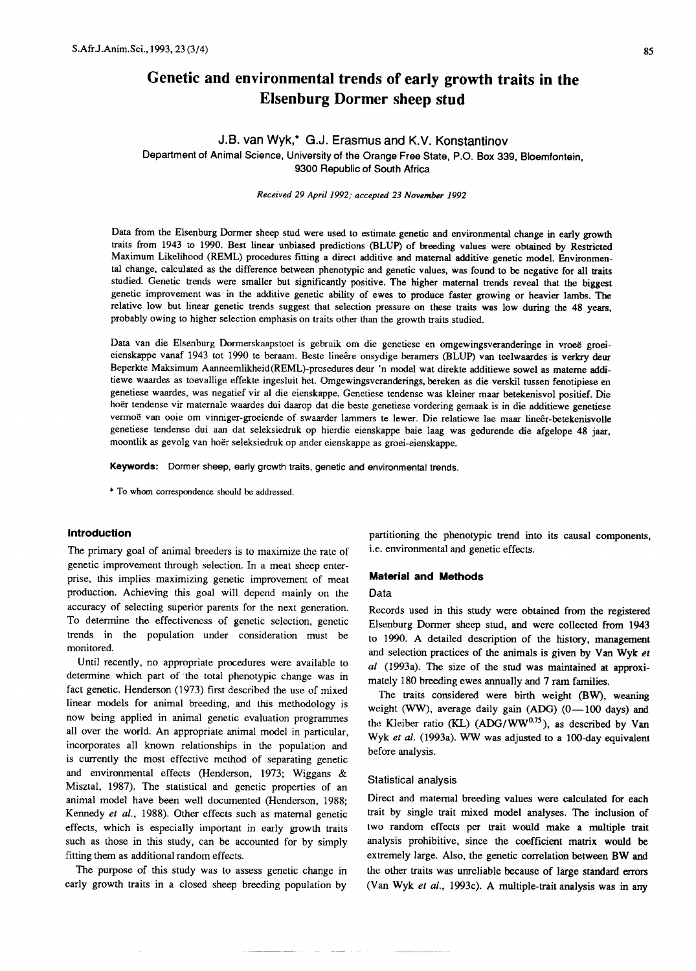# **Genetic and environmental trends of early growth traits in the Elsenburg Dormer sheep stud**

# J.B. van Wyk,\* G.J. Erasmus and K.V. Konstantinov Department of Animal Science, University of the Orange Free State, P.O. Box 339, Bloemfontein, 9300 Republic of South Africa

Received 29 April 1992; accepted 23 November 1992

Data from the Elsenburg Dormer sheep stud were used to estimate genetic and environmental change in early growth traits from 1943 to 1990. Best linear unbiased predictions (BLUP) of breeding values were obtained by Restricted Maximum Likelihood (REML) procedures fitting a direct additive and maternal additive genetic model. Environmental change, calculated as the difference between phenotypic and genetic values, was found to be negative for all traits studied. Genetic trends were smaller but significantly positive. The higher maternal trends reveal that the biggest genetic improvement was in the additive genetic ability of ewes to produce faster growing or heavier lambs. The relative low but linear genetic trends suggest that selection pressure on these traits was low during the 48 years, probably owing to higher selection emphasis on traits other than the growth traits studied.

Data van die Elsenburg Dormerskaapstoet is gebruik om die genetiese en omgewingsveranderinge in vroeë groeieienskappe vanaf 1943 tot 1990 te beraam. Beste lineere onsydige beramers (BLUP) van teelwaardes is verkry deur Beperkte Maksimum Aanneemlikheid(REML)-prosedures deur 'n model wat direkte additiewe sowel as mateme additiewe waardes as toevallige effekte ingesluit het. Omgewingsveranderings, bereken as die verskil tussen fenotipiese en genetiese waardes, was negatief vir al die eienskappe. Genetiese tendense was kleiner maar betekenisvol positief. Die hoer tendense vir maternale waardes dui daarop dat die beste genetiese vordering gemaak is in die additiewe genetiese vermoë van ooie om vinniger-groeiende of swaarder lammers te lewer. Die relatiewe lae maar lineêr-betekenisvolle genetiese tendense dui aan dat seleksiedruk op hierdie eienskappe baie laag was gedurende die afgelope 48 jaar, moontlik as gevolg van hoer seleksiedruk op ander eienskappe as groei-eienskappe.

Keywords: Dormer sheep, early growth traits, genetic and environmental trends.

\* To whom correspondence should be addressed.

#### **Introduction**

The primary goal of animal breeders is to maximize the rate of genetic improvement through selection. In a meat sheep enterprise, this implies maximizing genetic improvement of meat production. Achieving this goal will depend mainly on the accuracy of selecting superior parents for the next generation. To determine the effectiveness of genetic selection, genetic trends in the population under consideration must be monitored.

Until recently, no appropriate procedures were available to determine which part of the total phenotypic change was in fact genetic. Henderson (1973) first described the use of mixed linear models for animal breeding, and this methodology is now being applied in animal genetic evaluation programmes all over the world. An appropriate animal model in particular, incorporates all known relationships in the population and is currently the most effective method of separating genetic and environmental effects (Henderson, 1973; Wiggans & Misztal, 1987). The statistical and genetic properties of an animal model have been well documented (Henderson, 1988; Kennedy *et ai.,* 1988). Other effects such as maternal genetic effects, which is especially important in early growth traits such as those in this study, can be accounted for by simply fitting them as additional random effects.

The purpose of this study was to assess genetic change in early growth traits in a closed sheep breeding population by

partitioning the phenotypic trend into its causal components, i.e. environmental and genetic effects.

### **Material and Methods**

#### Data

Records used in this study were obtained from the registered Elsenburg Dormer sheep stud, and were collected from 1943 to 1990. A detailed description of the history, management and selection practices of the animals is given by VanWyk *et ai* (1993a). The size of the stud was maintained at approximately 180 breeding ewes annually and 7 ram families.

The traits considered were birth weight (BW), weaning weight (WW), average daily gain (ADG)  $(0-100$  days) and the Kleiber ratio (KL) (ADG/WW<sup>0.75</sup>), as described by Van Wyk et al. (1993a). WW was adjusted to a 100-day equivalent before analysis.

#### Statistical analysis

Direct and maternal breeding values were calculated for each trait by single trait mixed model analyses. The inclusion of two random effects per trait would make a multiple trait analysis prohibitive, since the coefficient matrix would be extremely large. Also, the genetic correlation between BW and the other traits was unreliable because of large standard errors (Van Wyk *et ai.,* 1993c). A multiple-trait analysis was in any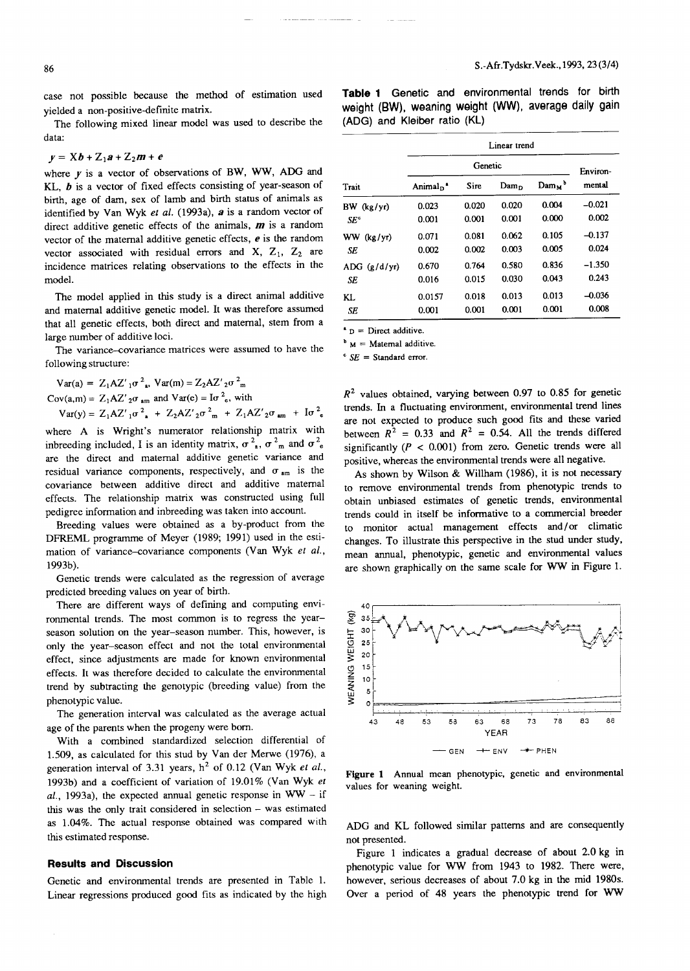case not possible because the method of estimation used yielded a non-positive-definite matrix.

The following mixed linear model was used to describe the data:

$$
y = \mathbf{X}b + \mathbf{Z}_1a + \mathbf{Z}_2m + e
$$

where *y* is a vector of observations of BW, WW, ADG and KL, *b* is a vector of fixed effects consisting of year-season of birth, age of dam, sex of lamb and birth status of animals as identified by Van Wyk et al. (1993a), a is a random vector of direct additive genetic effects of the animals, *m* is a random vector of the maternal additive genetic effects, *e* is the random vector associated with residual errors and  $X$ ,  $Z_1$ ,  $Z_2$  are incidence matrices relating observations to the effects in the model.

The model applied in this study is a direct animal additive and maternal additive genetic model. It was therefore assumed that all genetic effects, both direct and maternal, stem from a large number of additive loci.

The variance-covariance matrices were assumed to have the following structure:

$$
Var(a) = Z_1 A Z'_{1} \sigma^{2} \cdot \text{Var}(m) = Z_2 A Z'_{2} \sigma^{2} \cdot \text{Var}
$$
  
\n
$$
Cov(a, m) = Z_1 A Z'_{2} \sigma \cdot \text{Var}(m) \cdot \text{Var}(e) = I \sigma^{2} \cdot \text{Var}(m)
$$
  
\n
$$
Var(y) = Z_1 A Z'_{1} \sigma^{2} \cdot \text{Var}(Z_2 A Z'_{2} \sigma^{2} \cdot \text{Var}(X_1 A Z'_{2} \sigma \cdot \text{Var}(X_2 A Z'_{2} \sigma \cdot \text{Var}(X_1 A Z'_{2} \sigma \cdot \text{Var}(X_1 A Z'_{2} \sigma \cdot \text{Var}(X_2 A Z'_{2} \sigma \cdot \text{Var}(X_1 A Z'_{2} \sigma \cdot \text{Var}(X_1 A Z'_{2} \sigma \cdot \text{Var}(X_1 A Z'_{2} \sigma \cdot \text{Var}(X_2 A Z'_{2} \sigma \cdot \text{Var}(X_1 A Z'_{2} \sigma \cdot \text{Var}(X_1 A Z'_{2} \sigma \cdot \text{Var}(X_1 A Z'_{2} \sigma \cdot \text{Var}(X_1 A Z'_{2} \sigma \cdot \text{Var}(X_1 A Z'_{2} \sigma \cdot \text{Var}(X_1 A Z'_{2} \sigma \cdot \text{Var}(X_1 A Z'_{2} \sigma \cdot \text{Var}(X_1 A Z'_{2} \sigma \cdot \text{Var}(X_1 A Z'_{2} \sigma \cdot \text{Var}(X_1 A Z'_{2} \sigma \cdot \text{Var}(X_1 A Z'_{2} \sigma \cdot \text{Var}(X_1 A Z'_{2} \sigma \cdot \text{Var}(X_1 A Z'_{2} \sigma \cdot \text{Var}(X_1 A Z'_{2} \sigma \cdot \text{Var}(X_1 A Z'_{2} \sigma \cdot \text{Var}(X_1 A Z'_{2} \sigma \cdot \text{Var}(X_1 A Z'_{2} \sigma \cdot \text{Var}(X_1 A Z'_{2} \sigma \cdot \text{Var}(X_1 A Z'_{2} \sigma \cdot \text{Var}(X_1 A Z'_{2} \sigma \cdot \text{Var}(X_1 A Z'_{2} \sigma \cdot \text{Var}(X_1 A Z'_{2} \sigma \cdot \text{Var}(X_1 A Z'_{2} \sigma \cdot \text{Var}(X_1 A Z'_{2} \sigma \cdot \
$$

where A is Wright's numerator relationship matrix with independence included, I is an identity matrix,  $\sigma^2$ ,  $\sigma^2$ <sub>m</sub> and  $\sigma^2$ <sub>c</sub> are the direct and maternal additive genetic variance and residual variance components, respectively, and  $\sigma_{am}$  is the covariance between additive direct and additive maternal effects. The relationship matrix was constructed using full pedigree information and inbreeding was taken into account.

Breeding values were obtained as a by-product from the DFREML programme of Meyer (1989; 1991) used in the estimation of variance-covariance components (Van Wyk et al., 1993b).

Genetic trends were calculated as the regression of average predicted breeding values on year of birth.

There are different ways of defining and computing environmental trends. The most common is to regress the yearseason solution on the year-season number. This, however, is only the year-season effect and not the total environmental effect, since adjustments are made for known environmental effects. It was therefore decided to calculate the environmental trend by subtracting the genotypic (breeding value) from the phenotypic value.

The generation interval was calculated as the average actual age of the parents when the progeny were born.

With a combined standardized selection differential of 1.509, as calculated for this stud by Van der Merwe (1976), a generation interval of 3.31 years,  $h^2$  of 0.12 (Van Wyk *et al.*, 1993b) and a coefficient of variation of 19.01% (Van Wyk *et al.,* 1993a), the expected annual genetic response in WW - if this was the only trait considered in selection - was estimated as 1.04%. The actual response obtained was compared with this estimated response.

#### **Results and Discussion**

Genetic and environmental trends are presented in Table 1. Linear regressions produced good fits as indicated by the high **Table 1** Genetic and environmental trends for birth weight (BW), weaning weight (WW), average daily gain (ADG) and Kleiber ratio (KL)

| Trait           | Linear trend                     |             |                  |                                        |          |
|-----------------|----------------------------------|-------------|------------------|----------------------------------------|----------|
|                 | Genetic                          |             |                  |                                        | Environ- |
|                 | Animal <sub>D</sub> <sup>*</sup> | <b>Sire</b> | Dam <sub>D</sub> | $\text{Dam}_{\mathbf{M}}$ <sup>b</sup> | mental   |
| BW (kg/yr)      | 0.023                            | 0.020       | 0.020            | 0.004                                  | $-0.021$ |
| SE <sup>c</sup> | 0.001                            | 0.001       | 0.001            | 0.000                                  | 0.002    |
| WW (kg/yr)      | 0.071                            | 0.081       | 0.062            | 0.105                                  | $-0.137$ |
| SE              | 0.002                            | 0.002       | 0.003            | 0.005                                  | 0.024    |
| ADC (g/d/yr)    | 0.670                            | 0.764       | 0.580            | 0.836                                  | $-1.350$ |
| SE              | 0.016                            | 0.015       | 0.030            | 0.043                                  | 0.243    |
| KL.             | 0.0157                           | 0.018       | 0.013            | 0.013                                  | $-0.036$ |
| SE              | 0.001                            | 0.001       | 0.001            | 0.001                                  | 0.008    |

 $p =$  Direct additive.

 $<sup>b</sup>$  M = Maternal additive.</sup>

 $E =$ Standard error.

*R <sup>Z</sup>* values obtained, varying between 0.97 to 0.85 for genetic trends. In a fluctuating environment, environmental trend lines are not expected to produce such good fits and these varied between  $R^2 = 0.33$  and  $R^2 = 0.54$ . All the trends differed significantly  $(P < 0.001)$  from zero. Genetic trends were all positive, whereas the environmental trends were all negative.

As shown by Wilson & Willham (1986), it is not necessary to remove environmental trends from phenotypic trends to obtain unbiased estimates of genetic trends, environmental trends could in itself be informative to a commercial breeder to monitor actual management effects and/or climatic changes. To illustrate this perspective in the stud under study, mean annual, phenotypic, genetic and environmental values are shown graphically on the same scale for WW in Figure 1.



Figure 1 Annual mean phenotypic, genetic and environmental values for weaning weight.

ADG and KL followed similar patterns and are consequently not presented.

Figure 1 indicates a gradual decrease of about 2.0 kg in phenotypic value for WW from 1943 to 1982. There were, however, serious decreases of about 7.0 kg in the mid 1980s. Over a period of 48 years the phenotypic trend for WW